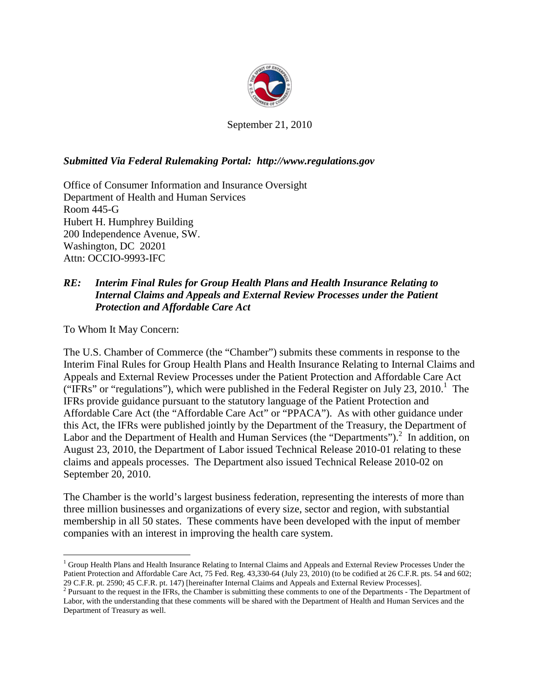

September 21, 2010

### *Submitted Via Federal Rulemaking Portal: http://www.regulations.gov*

Office of Consumer Information and Insurance Oversight Department of Health and Human Services Room 445-G Hubert H. Humphrey Building 200 Independence Avenue, SW. Washington, DC 20201 Attn: OCCIO-9993-IFC

### *RE: Interim Final Rules for Group Health Plans and Health Insurance Relating to Internal Claims and Appeals and External Review Processes under the Patient Protection and Affordable Care Act*

To Whom It May Concern:

The U.S. Chamber of Commerce (the "Chamber") submits these comments in response to the Interim Final Rules for Group Health Plans and Health Insurance Relating to Internal Claims and Appeals and External Review Processes under the Patient Protection and Affordable Care Act ("IFRs"or "regulations"), which were published in the Federal Register on July 23, 2010[.](#page-0-0)<sup>1</sup> The IFRs provide guidance pursuant to the statutory language of the Patient Protection and Affordable Care Act (the "Affordable Care Act" or "PPACA"). As with other guidance under this Act, the IFRs were published jointly by the Department of the Treasury, the Department of Labor and the Department of Health and Human Services (the "Departments").<sup>[2](#page-0-1)</sup> In addition, on August 23, 2010, the Department of Labor issued Technical Release 2010-01 relating to these claims and appeals processes. The Department also issued Technical Release 2010-02 on September 20, 2010.

The Chamber is the world's largest business federation, representing the interests of more than three million businesses and organizations of every size, sector and region, with substantial membership in all 50 states. These comments have been developed with the input of member companies with an interest in improving the health care system.

<span id="page-0-0"></span><sup>&</sup>lt;sup>1</sup> Group Health Plans and Health Insurance Relating to Internal Claims and Appeals and External Review Processes Under the Patient Protection and Affordable Care Act, 75 Fed. Reg. 43,330-64 (July 23, 2010) (to be codified at 26 C.F.R. pts. 54 and 602; 29 C.F.R. pt. 2590; 45 C.F.R. pt. 147) [hereinafter Internal Claims and Appeals and External Review Processes].<br><sup>2</sup> Pursuant to the request in the IFRs, the Chamber is submitting these comments to one of the Departments -

<span id="page-0-1"></span>Labor, with the understanding that these comments will be shared with the Department of Health and Human Services and the Department of Treasury as well.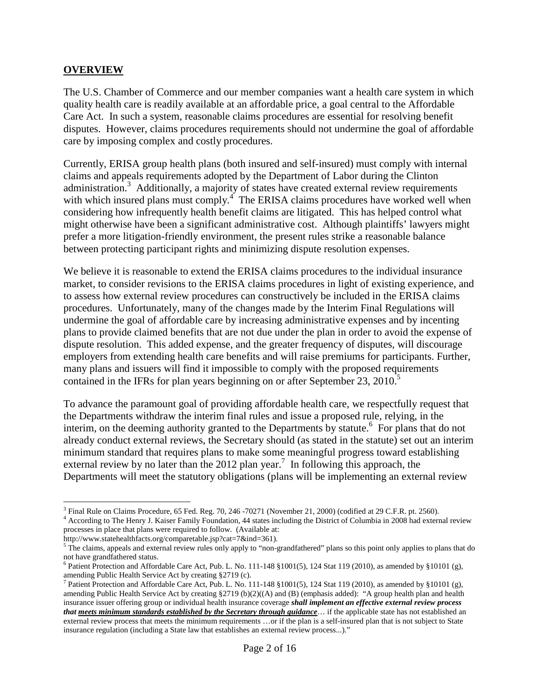### **OVERVIEW**

The U.S. Chamber of Commerce and our member companies want a health care system in which quality health care is readily available at an affordable price, a goal central to the Affordable Care Act. In such a system, reasonable claims procedures are essential for resolving benefit disputes. However, claims procedures requirements should not undermine the goal of affordable care by imposing complex and costly procedures.

Currently, ERISA group health plans (both insured and self-insured) must comply with internal claims and appeals requirements adopted by the Department of Labor during the Clinton administration. $3$  Additionally, a majority of states have created external review requirements with which insured plans must comply.<sup>[4](#page-1-1)</sup> The ERISA claims procedures have worked well when considering how infrequently health benefit claims are litigated. This has helped control what might otherwise have been a significant administrative cost. Although plaintiffs' lawyers might prefer a more litigation-friendly environment, the present rules strike a reasonable balance between protecting participant rights and minimizing dispute resolution expenses.

We believe it is reasonable to extend the ERISA claims procedures to the individual insurance market, to consider revisions to the ERISA claims procedures in light of existing experience, and to assess how external review procedures can constructively be included in the ERISA claims procedures. Unfortunately, many of the changes made by the Interim Final Regulations will undermine the goal of affordable care by increasing administrative expenses and by incenting plans to provide claimed benefits that are not due under the plan in order to avoid the expense of dispute resolution. This added expense, and the greater frequency of disputes, will discourage employers from extending health care benefits and will raise premiums for participants. Further, many plans and issuers will find it impossible to comply with the proposed requirements containedin the IFRs for plan years beginning on or after September 23, 2010[.](#page-1-2)<sup>5</sup>

To advance the paramount goal of providing affordable health care, we respectfully request that the Departments withdraw the interim final rules and issue a proposed rule, relying, in the interim, on the deeming authority granted to the Departments by statute.<sup>[6](#page-1-3)</sup> For plans that do not already conduct external reviews, the Secretary should (as stated in the statute) set out an interim minimum standard that requires plans to make some meaningful progress toward establishing externalreview by no later than the 2012 plan year[.](#page-1-4)<sup>7</sup> In following this approach, the Departments will meet the statutory obligations (plans will be implementing an external review

<span id="page-1-2"></span>http://www.statehealthfacts.org/comparetable.jsp?cat=7&ind=361).

<span id="page-1-0"></span><sup>&</sup>lt;sup>3</sup> Final Rule on Claims Procedure, 65 Fed. Reg. 70, 246 -70271 (November 21, 2000) (codified at 29 C.F.R. pt. 2560).

<span id="page-1-1"></span><sup>&</sup>lt;sup>4</sup> According to The Henry J. Kaiser Family Foundation, 44 states including the District of Columbia in 2008 had external review processes in place that plans were required to follow. (Available at:

<sup>&</sup>lt;sup>5</sup> The claims, appeals and external review rules only apply to "non-grandfathered" plans so this point only applies to plans that do not have grandfathered status.

<span id="page-1-3"></span><sup>&</sup>lt;sup>6</sup> Patient Protection and Affordable Care Act, Pub. L. No. 111-148 §1001(5), 124 Stat 119 (2010), as amended by §10101 (g), amending Public Health Service Act by creating §2719 (c).

<span id="page-1-4"></span><sup>&</sup>lt;sup>7</sup> Patient Protection and Affordable Care Act, Pub. L. No. 111-148 §1001(5), 124 Stat 119 (2010), as amended by §10101 (g), amending Public Health Service Act by creating §2719 (b)(2)((A) and (B) (emphasis added): "A group health plan and health insurance issuer offering group or individual health insurance coverage *shall implement an effective external review process that meets minimum standards established by the Secretary through guidance*… if the applicable state has not established an external review process that meets the minimum requirements …or if the plan is a self-insured plan that is not subject to State insurance regulation (including a State law that establishes an external review process...)."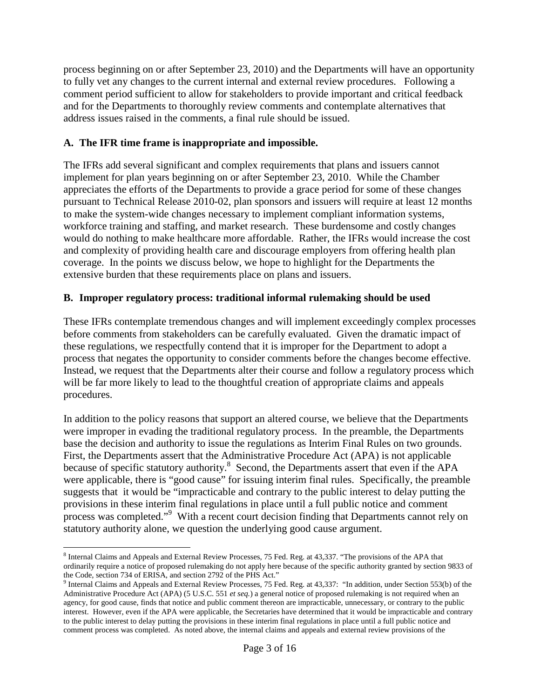process beginning on or after September 23, 2010) and the Departments will have an opportunity to fully vet any changes to the current internal and external review procedures. Following a comment period sufficient to allow for stakeholders to provide important and critical feedback and for the Departments to thoroughly review comments and contemplate alternatives that address issues raised in the comments, a final rule should be issued.

# **A. The IFR time frame is inappropriate and impossible.**

The IFRs add several significant and complex requirements that plans and issuers cannot implement for plan years beginning on or after September 23, 2010. While the Chamber appreciates the efforts of the Departments to provide a grace period for some of these changes pursuant to Technical Release 2010-02, plan sponsors and issuers will require at least 12 months to make the system-wide changes necessary to implement compliant information systems, workforce training and staffing, and market research. These burdensome and costly changes would do nothing to make healthcare more affordable. Rather, the IFRs would increase the cost and complexity of providing health care and discourage employers from offering health plan coverage. In the points we discuss below, we hope to highlight for the Departments the extensive burden that these requirements place on plans and issuers.

## **B. Improper regulatory process: traditional informal rulemaking should be used**

These IFRs contemplate tremendous changes and will implement exceedingly complex processes before comments from stakeholders can be carefully evaluated. Given the dramatic impact of these regulations, we respectfully contend that it is improper for the Department to adopt a process that negates the opportunity to consider comments before the changes become effective. Instead, we request that the Departments alter their course and follow a regulatory process which will be far more likely to lead to the thoughtful creation of appropriate claims and appeals procedures.

In addition to the policy reasons that support an altered course, we believe that the Departments were improper in evading the traditional regulatory process. In the preamble, the Departments base the decision and authority to issue the regulations as Interim Final Rules on two grounds. First, the Departments assert that the Administrative Procedure Act (APA) is not applicable because of specific statutory authority.<sup>[8](#page-2-0)</sup> Second, the Departments assert that even if the APA were applicable, there is "good cause" for issuing interim final rules. Specifically, the preamble suggests that it would be "impracticable and contrary to the public interest to delay putting the provisions in these interim final regulations in place until a full public notice and comment process was completed."[9](#page-2-1) With a recent court decision finding that Departments cannot rely on statutory authority alone, we question the underlying good cause argument.

<span id="page-2-0"></span><sup>&</sup>lt;sup>8</sup> Internal Claims and Appeals and External Review Processes, 75 Fed. Reg. at 43,337. "The provisions of the APA that ordinarily require a notice of proposed rulemaking do not apply here because of the specific authority granted by section 9833 of the Code, section 734 of ERISA, and section 2792 of the PHS Act."

<span id="page-2-1"></span><sup>&</sup>lt;sup>9</sup> Internal Claims and Appeals and External Review Processes, 75 Fed. Reg. at 43,337: "In addition, under Section 553(b) of the Administrative Procedure Act (APA) (5 U.S.C. 551 *et seq.*) a general notice of proposed rulemaking is not required when an agency, for good cause, finds that notice and public comment thereon are impracticable, unnecessary, or contrary to the public interest. However, even if the APA were applicable, the Secretaries have determined that it would be impracticable and contrary to the public interest to delay putting the provisions in these interim final regulations in place until a full public notice and comment process was completed. As noted above, the internal claims and appeals and external review provisions of the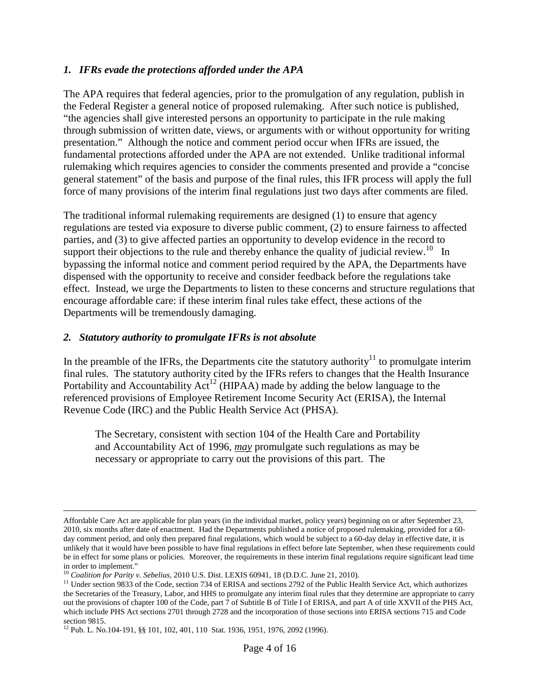### *1. IFRs evade the protections afforded under the APA*

The APA requires that federal agencies, prior to the promulgation of any regulation, publish in the Federal Register a general notice of proposed rulemaking. After such notice is published, "the agencies shall give interested persons an opportunity to participate in the rule making through submission of written date, views, or arguments with or without opportunity for writing presentation." Although the notice and comment period occur when IFRs are issued, the fundamental protections afforded under the APA are not extended. Unlike traditional informal rulemaking which requires agencies to consider the comments presented and provide a "concise general statement" of the basis and purpose of the final rules, this IFR process will apply the full force of many provisions of the interim final regulations just two days after comments are filed.

The traditional informal rulemaking requirements are designed (1) to ensure that agency regulations are tested via exposure to diverse public comment, (2) to ensure fairness to affected parties, and (3) to give affected parties an opportunity to develop evidence in the record to support their objections to the rule and thereby enhance the quality of judicial review.<sup>[10](#page-3-0)</sup> In bypassing the informal notice and comment period required by the APA, the Departments have dispensed with the opportunity to receive and consider feedback before the regulations take effect. Instead, we urge the Departments to listen to these concerns and structure regulations that encourage affordable care: if these interim final rules take effect, these actions of the Departments will be tremendously damaging.

#### *2. Statutory authority to promulgate IFRs is not absolute*

In the preamble of the IFRs, the Departments cite the statutory authority<sup>[11](#page-3-1)</sup> to promulgate interim final rules. The statutory authority cited by the IFRs refers to changes that the Health Insurance Portabilityand Accountability  $Act^{12}$  (HIPAA) made by adding the below language to the referenced provisions of Employee Retirement Income Security Act (ERISA), the Internal Revenue Code (IRC) and the Public Health Service Act (PHSA).

The Secretary, consistent with section 104 of the Health Care and Portability and Accountability Act of 1996, *may* promulgate such regulations as may be necessary or appropriate to carry out the provisions of this part. The

Affordable Care Act are applicable for plan years (in the individual market, policy years) beginning on or after September 23, 2010, six months after date of enactment. Had the Departments published a notice of proposed rulemaking, provided for a 60 day comment period, and only then prepared final regulations, which would be subject to a 60-day delay in effective date, it is unlikely that it would have been possible to have final regulations in effect before late September, when these requirements could be in effect for some plans or policies. Moreover, the requirements in these interim final regulations require significant lead time in order to implement."

<span id="page-3-1"></span><span id="page-3-0"></span><sup>10</sup> *Coalition for Parity v. Sebelius*, 2010 U.S. Dist. LEXIS 60941, 18 (D.D.C. June 21, 2010).

 $11$  Under section 9833 of the Code, section 734 of ERISA and sections 2792 of the Public Health Service Act, which authorizes the Secretaries of the Treasury, Labor, and HHS to promulgate any interim final rules that they determine are appropriate to carry out the provisions of chapter 100 of the Code, part 7 of Subtitle B of Title I of ERISA, and part A of title XXVII of the PHS Act, which include PHS Act sections 2701 through 2728 and the incorporation of those sections into ERISA sections 715 and Code section 9815.

<span id="page-3-2"></span><sup>12</sup> Pub. L. No.104-191, §§ 101, 102, 401, 110 Stat. 1936, 1951, 1976, 2092 (1996).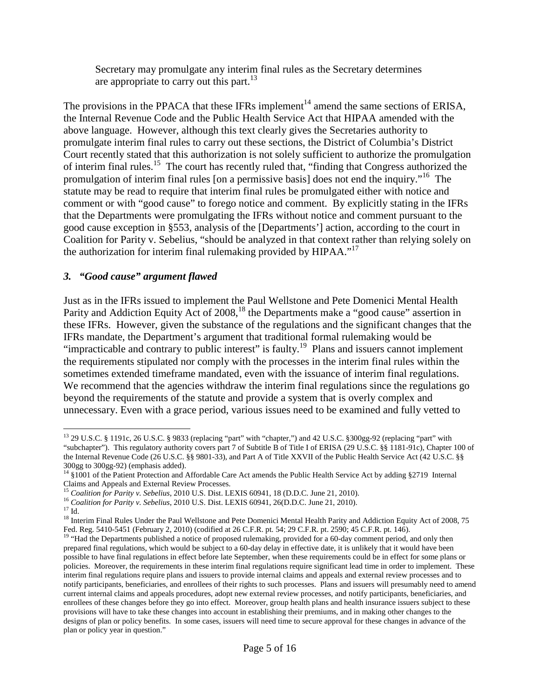Secretary may promulgate any interim final rules as the Secretary determines areappropriate to carry out this part[.](#page-4-0)<sup>13</sup>

The provisions in the PPACA that these IFRs implement<sup>[14](#page-4-1)</sup> amend the same sections of ERISA, the Internal Revenue Code and the Public Health Service Act that HIPAA amended with the above language. However, although this text clearly gives the Secretaries authority to promulgate interim final rules to carry out these sections, the District of Columbia's District Court recently stated that this authorization is not solely sufficient to authorize the promulgation of interim finalrules[.](#page-4-2)<sup>15</sup> The court has recently ruled that, "finding that Congress authorized the promulgation of interim final rules [on a permissive basis] does not end the inquiry.<sup>"[16](#page-4-3)</sup> The statute may be read to require that interim final rules be promulgated either with notice and comment or with "good cause" to forego notice and comment. By explicitly stating in the IFRs that the Departments were promulgating the IFRs without notice and comment pursuant to the good cause exception in §553, analysis of the [Departments'] action, according to the court in Coalition for Parity v. Sebelius, "should be analyzed in that context rather than relying solely on the authorization for interim final rulemaking provided by HIPAA."<sup>[17](#page-4-4)</sup>

## *3. "Good cause" argument flawed*

Just as in the IFRs issued to implement the Paul Wellstone and Pete Domenici Mental Health Parity and Addiction Equity Act of 2008,<sup>[18](#page-4-5)</sup> the Departments make a "good cause" assertion in these IFRs. However, given the substance of the regulations and the significant changes that the IFRs mandate, the Department's argument that traditional formal rulemaking would be "impracticable and contrary to public interest" is faulty.<sup>[19](#page-4-6)</sup> Plans and issuers cannot implement the requirements stipulated nor comply with the processes in the interim final rules within the sometimes extended timeframe mandated, even with the issuance of interim final regulations. We recommend that the agencies withdraw the interim final regulations since the regulations go beyond the requirements of the statute and provide a system that is overly complex and unnecessary. Even with a grace period, various issues need to be examined and fully vetted to

<span id="page-4-0"></span><sup>13</sup> 29 U.S.C. § 1191c, 26 U.S.C. § 9833 (replacing "part" with "chapter,") and 42 U.S.C. §300gg-92 (replacing "part" with "subchapter"). This regulatory authority covers part 7 of Subtitle B of Title I of ERISA (29 U.S.C. §§ 1181-91c), Chapter 100 of the Internal Revenue Code (26 U.S.C. §§ 9801-33), and Part A of Title XXVII of the Public Health Service Act (42 U.S.C. §§ 300gg to 300gg-92) (emphasis added).

<span id="page-4-1"></span><sup>&</sup>lt;sup>14</sup> §1001 of the Patient Protection and Affordable Care Act amends the Public Health Service Act by adding §2719 Internal Claims and Appeals and External Review Processes.

<span id="page-4-3"></span><span id="page-4-2"></span><sup>15</sup> *Coalition for Parity v. Sebelius*, 2010 U.S. Dist. LEXIS 60941, 18 (D.D.C. June 21, 2010).

<span id="page-4-4"></span><sup>16</sup> *Coalition for Parity v. Sebelius*, 2010 U.S. Dist. LEXIS 60941, 26(D.D.C. June 21, 2010).

 $^{17}$  Id.

<span id="page-4-5"></span><sup>&</sup>lt;sup>18</sup> Interim Final Rules Under the Paul Wellstone and Pete Domenici Mental Health Parity and Addiction Equity Act of 2008, 75 Fed. Reg. 5410-5451 (February 2, 2010) (codified at 26 C.F.R. pt. 54; 29 C.F.R. pt. 2590; 45 C.F.R. pt. 146).

<span id="page-4-6"></span><sup>&</sup>lt;sup>19</sup> "Had the Departments published a notice of proposed rulemaking, provided for a 60-day comment period, and only then prepared final regulations, which would be subject to a 60-day delay in effective date, it is unlikely that it would have been possible to have final regulations in effect before late September, when these requirements could be in effect for some plans or policies. Moreover, the requirements in these interim final regulations require significant lead time in order to implement. These interim final regulations require plans and issuers to provide internal claims and appeals and external review processes and to notify participants, beneficiaries, and enrollees of their rights to such processes. Plans and issuers will presumably need to amend current internal claims and appeals procedures, adopt new external review processes, and notify participants, beneficiaries, and enrollees of these changes before they go into effect. Moreover, group health plans and health insurance issuers subject to these provisions will have to take these changes into account in establishing their premiums, and in making other changes to the designs of plan or policy benefits. In some cases, issuers will need time to secure approval for these changes in advance of the plan or policy year in question."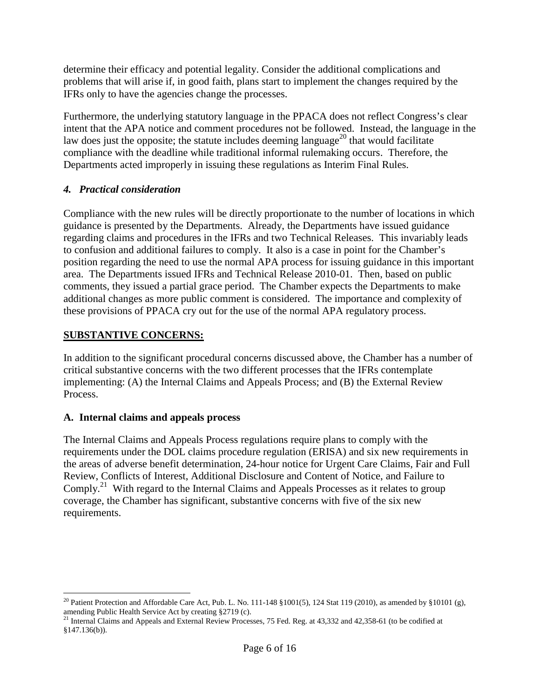determine their efficacy and potential legality. Consider the additional complications and problems that will arise if, in good faith, plans start to implement the changes required by the IFRs only to have the agencies change the processes.

Furthermore, the underlying statutory language in the PPACA does not reflect Congress's clear intent that the APA notice and comment procedures not be followed. Instead, the language in the law does just the opposite; the statute includes deeming language<sup>[20](#page-5-0)</sup> that would facilitate compliance with the deadline while traditional informal rulemaking occurs. Therefore, the Departments acted improperly in issuing these regulations as Interim Final Rules.

# *4. Practical consideration*

Compliance with the new rules will be directly proportionate to the number of locations in which guidance is presented by the Departments. Already, the Departments have issued guidance regarding claims and procedures in the IFRs and two Technical Releases. This invariably leads to confusion and additional failures to comply. It also is a case in point for the Chamber's position regarding the need to use the normal APA process for issuing guidance in this important area. The Departments issued IFRs and Technical Release 2010-01. Then, based on public comments, they issued a partial grace period. The Chamber expects the Departments to make additional changes as more public comment is considered. The importance and complexity of these provisions of PPACA cry out for the use of the normal APA regulatory process.

# **SUBSTANTIVE CONCERNS:**

In addition to the significant procedural concerns discussed above, the Chamber has a number of critical substantive concerns with the two different processes that the IFRs contemplate implementing: (A) the Internal Claims and Appeals Process; and (B) the External Review Process.

# **A. Internal claims and appeals process**

The Internal Claims and Appeals Process regulations require plans to comply with the requirements under the DOL claims procedure regulation (ERISA) and six new requirements in the areas of adverse benefit determination, 24-hour notice for Urgent Care Claims, Fair and Full Review, Conflicts of Interest, Additional Disclosure and Content of Notice, and Failure to Comply.<sup>[21](#page-5-1)</sup> With regard to the Internal Claims and Appeals Processes as it relates to group coverage, the Chamber has significant, substantive concerns with five of the six new requirements.

<span id="page-5-0"></span><sup>&</sup>lt;sup>20</sup> Patient Protection and Affordable Care Act, Pub. L. No. 111-148 §1001(5), 124 Stat 119 (2010), as amended by §10101 (g), amending Public Health Service Act by creating §2719 (c).

<span id="page-5-1"></span><sup>&</sup>lt;sup>21</sup> Internal Claims and Appeals and External Review Processes, 75 Fed. Reg. at 43,332 and 42,358-61 (to be codified at §147.136(b)).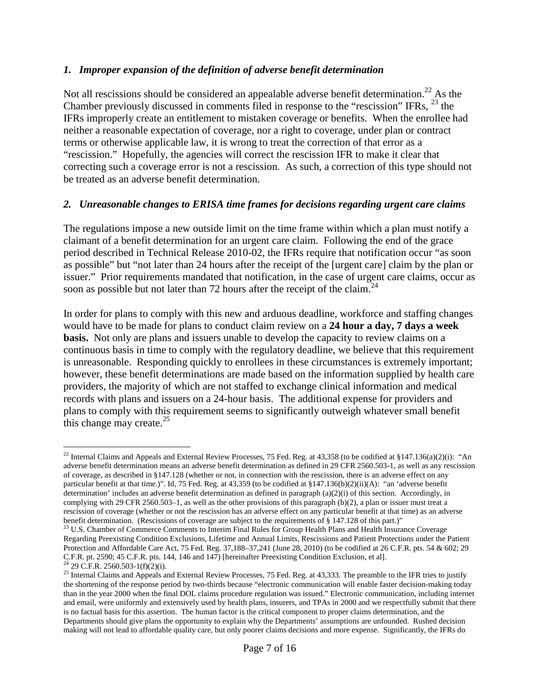### *1. Improper expansion of the definition of adverse benefit determination*

Not all rescissions should be considered an appealable adverse benefit determination.<sup>[22](#page-6-0)</sup> As the Chamber previously discussed in comments filed in response to the "rescission" IFRs, [23](#page-6-1) the IFRs improperly create an entitlement to mistaken coverage or benefits. When the enrollee had neither a reasonable expectation of coverage, nor a right to coverage, under plan or contract terms or otherwise applicable law, it is wrong to treat the correction of that error as a "rescission." Hopefully, the agencies will correct the rescission IFR to make it clear that correcting such a coverage error is not a rescission. As such, a correction of this type should not be treated as an adverse benefit determination.

#### *2. Unreasonable changes to ERISA time frames for decisions regarding urgent care claims*

The regulations impose a new outside limit on the time frame within which a plan must notify a claimant of a benefit determination for an urgent care claim. Following the end of the grace period described in Technical Release 2010-02, the IFRs require that notification occur "as soon as possible" but "not later than 24 hours after the receipt of the [urgent care] claim by the plan or issuer." Prior requirements mandated that notification, in the case of urgent care claims, occur as soon as possible but not later than 72 hours after the receipt of the claim.<sup>[24](#page-6-2)</sup>

In order for plans to comply with this new and arduous deadline, workforce and staffing changes would have to be made for plans to conduct claim review on a **24 hour a day, 7 days a week basis.** Not only are plans and issuers unable to develop the capacity to review claims on a continuous basis in time to comply with the regulatory deadline, we believe that this requirement is unreasonable. Responding quickly to enrollees in these circumstances is extremely important; however, these benefit determinations are made based on the information supplied by health care providers, the majority of which are not staffed to exchange clinical information and medical records with plans and issuers on a 24-hour basis. The additional expense for providers and plans to comply with this requirement seems to significantly outweigh whatever small benefit this change may create. $^{25}$  $^{25}$  $^{25}$ 

<span id="page-6-0"></span><sup>&</sup>lt;sup>22</sup> Internal Claims and Appeals and External Review Processes, 75 Fed. Reg. at 43,358 (to be codified at §147.136(a)(2)(i): "An adverse benefit determination means an adverse benefit determination as defined in 29 CFR 2560.503-1, as well as any rescission of coverage, as described in §147.128 (whether or not, in connection with the rescission, there is an adverse effect on any particular benefit at that time.)". Id, 75 Fed. Reg. at 43,359 (to be codified at §147.136(b)(2)(ii)(A): "an 'adverse benefit determination' includes an adverse benefit determination as defined in paragraph  $(a)(2)(i)$  of this section. Accordingly, in complying with 29 CFR 2560.503–1, as well as the other provisions of this paragraph (b)(2), a plan or issuer must treat a rescission of coverage (whether or not the rescission has an adverse effect on any particular benefit at that time) as an adverse benefit determination. (Rescissions of coverage are subject to the requirements of § 147.128 of this part.)"

<span id="page-6-1"></span><sup>&</sup>lt;sup>23</sup> U.S. Chamber of Commerce Comments to Interim Final Rules for Group Health Plans and Health Insurance Coverage Regarding Preexisting Condition Exclusions, Lifetime and Annual Limits, Rescissions and Patient Protections under the Patient Protection and Affordable Care Act, 75 Fed. Reg. 37,188–37,241 (June 28, 2010) (to be codified at 26 C.F.R. pts. 54 & 602; 29 C.F.R. pt. 2590; 45 C.F.R. pts. 144, 146 and 147) [hereinafter Preexisting Condition Exclusion, et al].  $^{24}$  29 C.F.R. 2560.503-1(f)(2)(i).

<span id="page-6-3"></span><span id="page-6-2"></span><sup>&</sup>lt;sup>25</sup> Internal Claims and Appeals and External Review Processes, 75 Fed. Reg. at 43,333. The preamble to the IFR tries to justify the shortening of the response period by two-thirds because "electronic communication will enable faster decision-making today than in the year 2000 when the final DOL claims procedure regulation was issued." Electronic communication, including internet and email, were uniformly and extensively used by health plans, insurers, and TPAs in 2000 and we respectfully submit that there is no factual basis for this assertion. The human factor is the critical component to proper claims determination, and the Departments should give plans the opportunity to explain why the Departments' assumptions are unfounded. Rushed decision making will not lead to affordable quality care, but only poorer claims decisions and more expense. Significantly, the IFRs do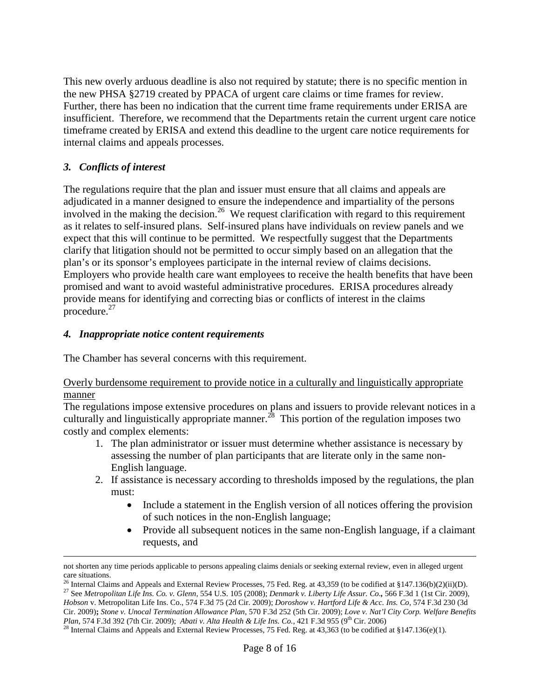This new overly arduous deadline is also not required by statute; there is no specific mention in the new PHSA §2719 created by PPACA of urgent care claims or time frames for review. Further, there has been no indication that the current time frame requirements under ERISA are insufficient. Therefore, we recommend that the Departments retain the current urgent care notice timeframe created by ERISA and extend this deadline to the urgent care notice requirements for internal claims and appeals processes.

## *3. Conflicts of interest*

The regulations require that the plan and issuer must ensure that all claims and appeals are adjudicated in a manner designed to ensure the independence and impartiality of the persons involved in the making the decision.<sup>[26](#page-7-0)</sup> We request clarification with regard to this requirement as it relates to self-insured plans. Self-insured plans have individuals on review panels and we expect that this will continue to be permitted. We respectfully suggest that the Departments clarify that litigation should not be permitted to occur simply based on an allegation that the plan's or its sponsor's employees participate in the internal review of claims decisions. Employers who provide health care want employees to receive the health benefits that have been promised and want to avoid wasteful administrative procedures. ERISA procedures already provide means for identifying and correcting bias or conflicts of interest in the claims procedure. $27$ 

## *4. Inappropriate notice content requirements*

The Chamber has several concerns with this requirement.

#### Overly burdensome requirement to provide notice in a culturally and linguistically appropriate manner

The regulations impose extensive procedures on plans and issuers to provide relevant notices in a culturally and linguistically appropriate manner.<sup>[28](#page-7-2)</sup> This portion of the regulation imposes two costly and complex elements:

- 1. The plan administrator or issuer must determine whether assistance is necessary by assessing the number of plan participants that are literate only in the same non-English language.
- 2. If assistance is necessary according to thresholds imposed by the regulations, the plan must:
	- Include a statement in the English version of all notices offering the provision of such notices in the non-English language;
	- Provide all subsequent notices in the same non-English language, if a claimant requests, and

<sup>27</sup> See *Metropolitan Life Ins. Co. v. Glenn,* 554 U.S. 105 (2008); *Denmark v. Liberty Life Assur. Co.,* 566 F.3d 1 (1st Cir. 2009), *Hobson* v. Metropolitan Life Ins. Co., 574 F.3d 75 (2d Cir. 2009); *Doroshow v. Hartford Life & Acc. Ins. Co,* 574 F.3d 230 (3d Cir. 2009)**;** *Stone v. Unocal Termination Allowance Plan*, 570 F.3d 252 (5th Cir. 2009); *Love v. Nat'l City Corp. Welfare Benefits*

not shorten any time periods applicable to persons appealing claims denials or seeking external review, even in alleged urgent care situations.

<span id="page-7-1"></span><span id="page-7-0"></span><sup>&</sup>lt;sup>26</sup> Internal Claims and Appeals and External Review Processes, 75 Fed. Reg. at 43,359 (to be codified at §147.136(b)(2)(ii)(D).

*Plan,* 574 F.3d 392 (7th Cir. 2009); *Abati v. Alta Health & Life Ins. Co.*, 421 F.3d 955 (9<sup>th</sup> Cir. 2006)

<span id="page-7-2"></span> $^{28}$  Internal Claims and Appeals and External Review Processes, 75 Fed. Reg. at 43,363 (to be codified at §147.136(e)(1).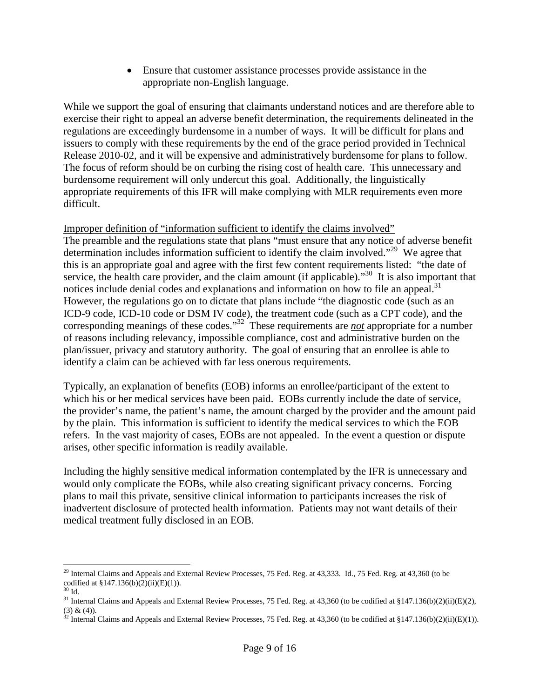Ensure that customer assistance processes provide assistance in the appropriate non-English language.

While we support the goal of ensuring that claimants understand notices and are therefore able to exercise their right to appeal an adverse benefit determination, the requirements delineated in the regulations are exceedingly burdensome in a number of ways. It will be difficult for plans and issuers to comply with these requirements by the end of the grace period provided in Technical Release 2010-02, and it will be expensive and administratively burdensome for plans to follow. The focus of reform should be on curbing the rising cost of health care. This unnecessary and burdensome requirement will only undercut this goal. Additionally, the linguistically appropriate requirements of this IFR will make complying with MLR requirements even more difficult.

Improper definition of "information sufficient to identify the claims involved" The preamble and the regulations state that plans "must ensure that any notice of adverse benefit determination includes information sufficient to identify the claim involved."<sup>[29](#page-8-0)</sup> We agree that this is an appropriate goal and agree with the first few content requirements listed: "the date of service, the health care provider, and the claim amount (if applicable)."<sup>[30](#page-8-1)</sup> It is also important that notices include denial codes and explanations and information on how to file an appeal.<sup>[31](#page-8-2)</sup> However, the regulations go on to dictate that plans include "the diagnostic code (such as an ICD-9 code, ICD-10 code or DSM IV code), the treatment code (such as a CPT code), and the corresponding meanings of these codes."[32](#page-8-3) These requirements are *not* appropriate for a number of reasons including relevancy, impossible compliance, cost and administrative burden on the plan/issuer, privacy and statutory authority. The goal of ensuring that an enrollee is able to identify a claim can be achieved with far less onerous requirements.

Typically, an explanation of benefits (EOB) informs an enrollee/participant of the extent to which his or her medical services have been paid. EOBs currently include the date of service, the provider's name, the patient's name, the amount charged by the provider and the amount paid by the plain. This information is sufficient to identify the medical services to which the EOB refers. In the vast majority of cases, EOBs are not appealed. In the event a question or dispute arises, other specific information is readily available.

Including the highly sensitive medical information contemplated by the IFR is unnecessary and would only complicate the EOBs, while also creating significant privacy concerns. Forcing plans to mail this private, sensitive clinical information to participants increases the risk of inadvertent disclosure of protected health information. Patients may not want details of their medical treatment fully disclosed in an EOB.

<span id="page-8-0"></span> $29$  Internal Claims and Appeals and External Review Processes, 75 Fed. Reg. at 43,333. Id., 75 Fed. Reg. at 43,360 (to be codified at §147.136(b)(2)(ii)(E)(1)).

<span id="page-8-1"></span> $30$  Id.

<span id="page-8-2"></span><sup>&</sup>lt;sup>31</sup> Internal Claims and Appeals and External Review Processes, 75 Fed. Reg. at 43,360 (to be codified at §147.136(b)(2)(ii)(E)(2), (3) & (4)).

<span id="page-8-3"></span><sup>&</sup>lt;sup>32</sup> Internal Claims and Appeals and External Review Processes, 75 Fed. Reg. at 43,360 (to be codified at §147.136(b)(2)(ii)(E)(1)).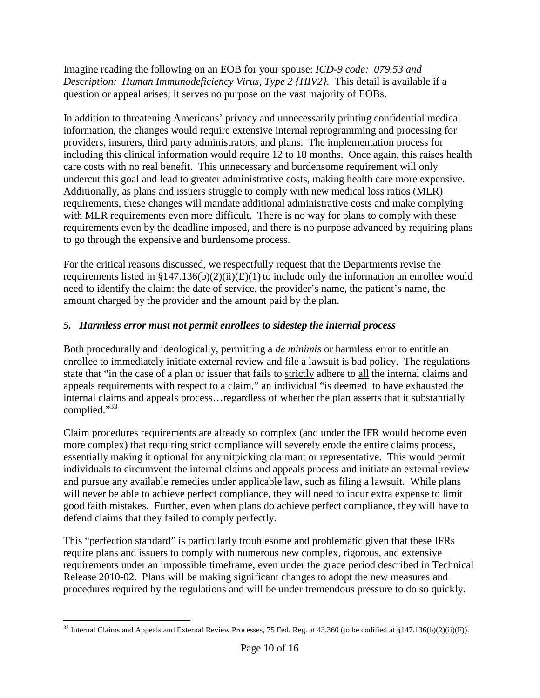Imagine reading the following on an EOB for your spouse: *ICD-9 code: 079.53 and Description: Human Immunodeficiency Virus, Type 2 {HIV2}.* This detail is available if a question or appeal arises; it serves no purpose on the vast majority of EOBs.

In addition to threatening Americans' privacy and unnecessarily printing confidential medical information, the changes would require extensive internal reprogramming and processing for providers, insurers, third party administrators, and plans. The implementation process for including this clinical information would require 12 to 18 months. Once again, this raises health care costs with no real benefit. This unnecessary and burdensome requirement will only undercut this goal and lead to greater administrative costs, making health care more expensive. Additionally, as plans and issuers struggle to comply with new medical loss ratios (MLR) requirements, these changes will mandate additional administrative costs and make complying with MLR requirements even more difficult. There is no way for plans to comply with these requirements even by the deadline imposed, and there is no purpose advanced by requiring plans to go through the expensive and burdensome process.

For the critical reasons discussed, we respectfully request that the Departments revise the requirements listed in  $$147.136(b)(2)(ii)(E)(1)$  to include only the information an enrollee would need to identify the claim: the date of service, the provider's name, the patient's name, the amount charged by the provider and the amount paid by the plan.

# *5. Harmless error must not permit enrollees to sidestep the internal process*

Both procedurally and ideologically, permitting a *de minimis* or harmless error to entitle an enrollee to immediately initiate external review and file a lawsuit is bad policy. The regulations state that "in the case of a plan or issuer that fails to strictly adhere to all the internal claims and appeals requirements with respect to a claim," an individual "is deemed to have exhausted the internal claims and appeals process…regardless of whether the plan asserts that it substantially complied."<sup>[33](#page-9-0)</sup>

Claim procedures requirements are already so complex (and under the IFR would become even more complex) that requiring strict compliance will severely erode the entire claims process, essentially making it optional for any nitpicking claimant or representative. This would permit individuals to circumvent the internal claims and appeals process and initiate an external review and pursue any available remedies under applicable law, such as filing a lawsuit. While plans will never be able to achieve perfect compliance, they will need to incur extra expense to limit good faith mistakes. Further, even when plans do achieve perfect compliance, they will have to defend claims that they failed to comply perfectly.

This "perfection standard" is particularly troublesome and problematic given that these IFRs require plans and issuers to comply with numerous new complex, rigorous, and extensive requirements under an impossible timeframe, even under the grace period described in Technical Release 2010-02. Plans will be making significant changes to adopt the new measures and procedures required by the regulations and will be under tremendous pressure to do so quickly.

<span id="page-9-0"></span><sup>&</sup>lt;sup>33</sup> Internal Claims and Appeals and External Review Processes, 75 Fed. Reg. at 43,360 (to be codified at §147.136(b)(2)(ii)(F)).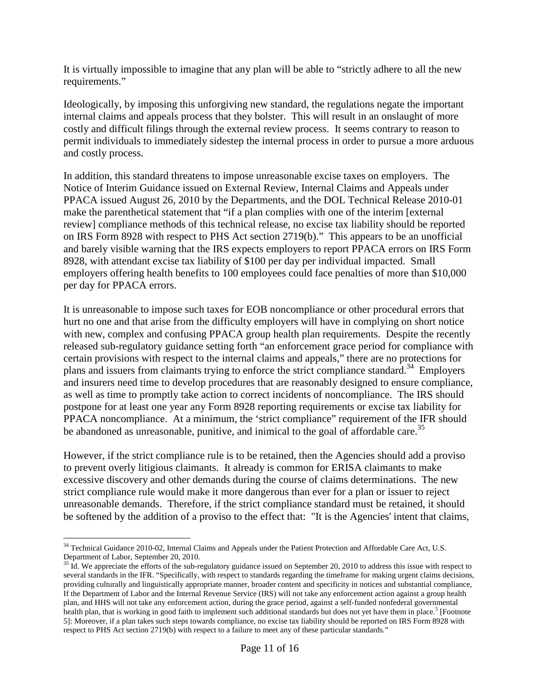It is virtually impossible to imagine that any plan will be able to "strictly adhere to all the new requirements."

Ideologically, by imposing this unforgiving new standard, the regulations negate the important internal claims and appeals process that they bolster. This will result in an onslaught of more costly and difficult filings through the external review process. It seems contrary to reason to permit individuals to immediately sidestep the internal process in order to pursue a more arduous and costly process.

In addition, this standard threatens to impose unreasonable excise taxes on employers. The Notice of Interim Guidance issued on External Review, Internal Claims and Appeals under PPACA issued August 26, 2010 by the Departments, and the DOL Technical Release 2010-01 make the parenthetical statement that "if a plan complies with one of the interim [external review] compliance methods of this technical release, no excise tax liability should be reported on IRS Form 8928 with respect to PHS Act section 2719(b)." This appears to be an unofficial and barely visible warning that the IRS expects employers to report PPACA errors on IRS Form 8928, with attendant excise tax liability of \$100 per day per individual impacted. Small employers offering health benefits to 100 employees could face penalties of more than \$10,000 per day for PPACA errors.

It is unreasonable to impose such taxes for EOB noncompliance or other procedural errors that hurt no one and that arise from the difficulty employers will have in complying on short notice with new, complex and confusing PPACA group health plan requirements. Despite the recently released sub-regulatory guidance setting forth "an enforcement grace period for compliance with certain provisions with respect to the internal claims and appeals," there are no protections for plans and issuers from claimants trying to enforce the strict compliance standard.<sup>[34](#page-10-0)</sup> Employers and insurers need time to develop procedures that are reasonably designed to ensure compliance, as well as time to promptly take action to correct incidents of noncompliance. The IRS should postpone for at least one year any Form 8928 reporting requirements or excise tax liability for PPACA noncompliance. At a minimum, the 'strict compliance" requirement of the IFR should beabandoned as unreasonable, punitive, and inimical to the goal of affordable care[.](#page-10-1)<sup>35</sup>

However, if the strict compliance rule is to be retained, then the Agencies should add a proviso to prevent overly litigious claimants. It already is common for ERISA claimants to make excessive discovery and other demands during the course of claims determinations. The new strict compliance rule would make it more dangerous than ever for a plan or issuer to reject unreasonable demands. Therefore, if the strict compliance standard must be retained, it should be softened by the addition of a proviso to the effect that: "It is the Agencies' intent that claims,

<span id="page-10-0"></span><sup>&</sup>lt;sup>34</sup> Technical Guidance 2010-02, Internal Claims and Appeals under the Patient Protection and Affordable Care Act, U.S. Department of Labor, September 20, 2010.

<span id="page-10-1"></span> $35$  Id. We appreciate the efforts of the sub-regulatory guidance issued on September 20, 2010 to address this issue with respect to several standards in the IFR. "Specifically, with respect to standards regarding the timeframe for making urgent claims decisions, providing culturally and linguistically appropriate manner, broader content and specificity in notices and substantial compliance, If the Department of Labor and the Internal Revenue Service (IRS) will not take any enforcement action against a group health plan, and HHS will not take any enforcement action, during the grace period, against a self-funded nonfederal governmental health plan, that is working in good faith to implement such additional standards but does not yet have them in place.<sup>5</sup> [Footnote 5]: Moreover, if a plan takes such steps towards compliance, no excise tax liability should be reported on IRS Form 8928 with respect to PHS Act section 2719(b) with respect to a failure to meet any of these particular standards."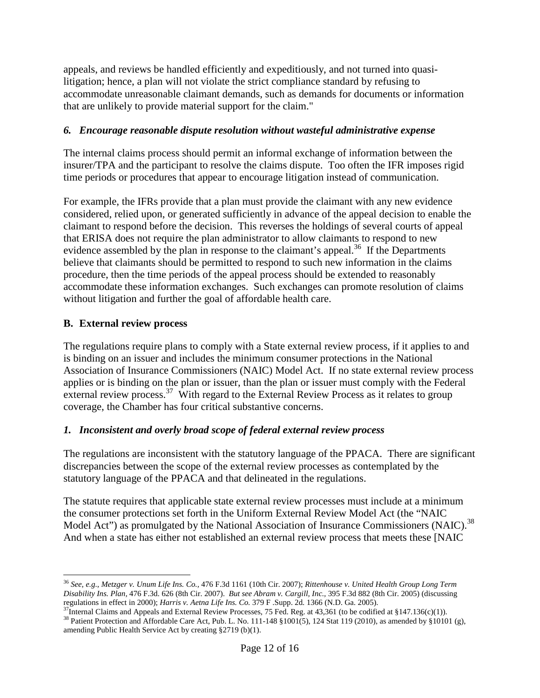appeals, and reviews be handled efficiently and expeditiously, and not turned into quasilitigation; hence, a plan will not violate the strict compliance standard by refusing to accommodate unreasonable claimant demands, such as demands for documents or information that are unlikely to provide material support for the claim."

## *6. Encourage reasonable dispute resolution without wasteful administrative expense*

The internal claims process should permit an informal exchange of information between the insurer/TPA and the participant to resolve the claims dispute. Too often the IFR imposes rigid time periods or procedures that appear to encourage litigation instead of communication.

For example, the IFRs provide that a plan must provide the claimant with any new evidence considered, relied upon, or generated sufficiently in advance of the appeal decision to enable the claimant to respond before the decision. This reverses the holdings of several courts of appeal that ERISA does not require the plan administrator to allow claimants to respond to new evidence assembled by the plan in response to the claimant's appeal.<sup>[36](#page-11-0)</sup> If the Departments believe that claimants should be permitted to respond to such new information in the claims procedure, then the time periods of the appeal process should be extended to reasonably accommodate these information exchanges. Such exchanges can promote resolution of claims without litigation and further the goal of affordable health care.

# **B. External review process**

The regulations require plans to comply with a State external review process, if it applies to and is binding on an issuer and includes the minimum consumer protections in the National Association of Insurance Commissioners (NAIC) Model Act. If no state external review process applies or is binding on the plan or issuer, than the plan or issuer must comply with the Federal external review process.<sup>[37](#page-11-1)</sup> With regard to the External Review Process as it relates to group coverage, the Chamber has four critical substantive concerns.

# *1. Inconsistent and overly broad scope of federal external review process*

The regulations are inconsistent with the statutory language of the PPACA. There are significant discrepancies between the scope of the external review processes as contemplated by the statutory language of the PPACA and that delineated in the regulations.

The statute requires that applicable state external review processes must include at a minimum the consumer protections set forth in the Uniform External Review Model Act (the "NAIC Model Act") as promulgated by the National Association of Insurance Commissioners (NAIC).<sup>[38](#page-11-2)</sup> And when a state has either not established an external review process that meets these [NAIC

<span id="page-11-0"></span><sup>36</sup> *See*, *e.g.*, *Metzger v. Unum Life Ins. Co.,* 476 F.3d 1161 (10th Cir. 2007); *Rittenhouse v. United Health Group Long Term Disability Ins. Plan,* 476 F.3d. 626 (8th Cir. 2007). *But see Abram v. Cargill, Inc.,* 395 F.3d 882 (8th Cir. 2005) (discussing regulations in effect in 2000); *Harris v. Aetna Life Ins. Co.* 379 F .Supp. 2d. 1366 (N.D. Ga. 2005).

<span id="page-11-2"></span><span id="page-11-1"></span><sup>&</sup>lt;sup>37</sup>Internal Claims and Appeals and External Review Processes, 75 Fed. Reg. at 43,361 (to be codified at §147.136(c)(1)). <sup>38</sup> Patient Protection and Affordable Care Act, Pub. L. No. 111-148 §1001(5), 124 Stat 119 (2010), as amended by §10101 (g), amending Public Health Service Act by creating §2719 (b)(1).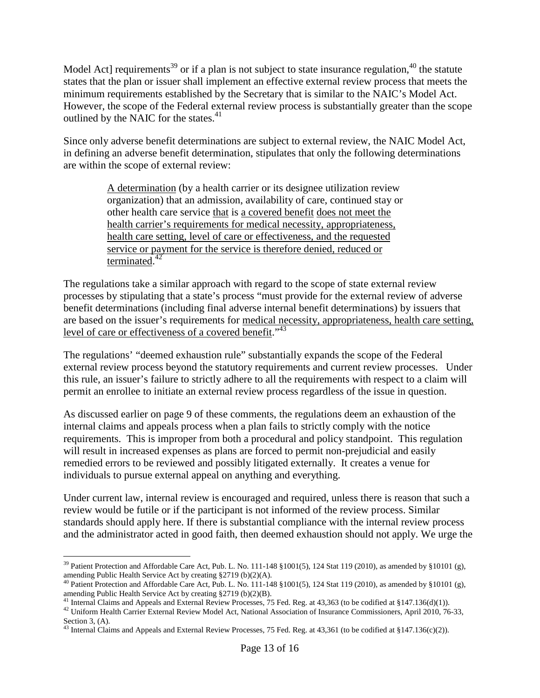Model Act] requirements<sup>[39](#page-12-0)</sup> or if a plan is not subject to state insurance regulation,  $40$  the statute states that the plan or issuer shall implement an effective external review process that meets the minimum requirements established by the Secretary that is similar to the NAIC's Model Act. However, the scope of the Federal external review process is substantially greater than the scope outlined by the NAIC for the states.<sup>[41](#page-12-2)</sup>

Since only adverse benefit determinations are subject to external review, the NAIC Model Act, in defining an adverse benefit determination, stipulates that only the following determinations are within the scope of external review:

> A determination (by a health carrier or its designee utilization review organization) that an admission, availability of care, continued stay or other health care service that is a covered benefit does not meet the health carrier's requirements for medical necessity, appropriateness, health care setting, level of care or effectiveness, and the requested service or payment for the service is therefore denied, reduced or terminated.<sup>[42](#page-12-3)</sup>

The regulations take a similar approach with regard to the scope of state external review processes by stipulating that a state's process "must provide for the external review of adverse benefit determinations (including final adverse internal benefit determinations) by issuers that are based on the issuer's requirements for medical necessity, appropriateness, health care setting, level of care or effectiveness of a covered benefit."<sup>[43](#page-12-4)</sup>

The regulations' "deemed exhaustion rule" substantially expands the scope of the Federal external review process beyond the statutory requirements and current review processes. Under this rule, an issuer's failure to strictly adhere to all the requirements with respect to a claim will permit an enrollee to initiate an external review process regardless of the issue in question.

As discussed earlier on page 9 of these comments, the regulations deem an exhaustion of the internal claims and appeals process when a plan fails to strictly comply with the notice requirements. This is improper from both a procedural and policy standpoint. This regulation will result in increased expenses as plans are forced to permit non-prejudicial and easily remedied errors to be reviewed and possibly litigated externally. It creates a venue for individuals to pursue external appeal on anything and everything.

Under current law, internal review is encouraged and required, unless there is reason that such a review would be futile or if the participant is not informed of the review process. Similar standards should apply here. If there is substantial compliance with the internal review process and the administrator acted in good faith, then deemed exhaustion should not apply. We urge the

<span id="page-12-0"></span><sup>&</sup>lt;sup>39</sup> Patient Protection and Affordable Care Act, Pub. L. No. 111-148 §1001(5), 124 Stat 119 (2010), as amended by §10101 (g), amending Public Health Service Act by creating §2719 (b)(2)(A).

<span id="page-12-1"></span><sup>40</sup> Patient Protection and Affordable Care Act, Pub. L. No. 111-148 §1001(5), 124 Stat 119 (2010), as amended by §10101 (g), amending Public Health Service Act by creating §2719 (b)(2)(B).

<span id="page-12-3"></span><span id="page-12-2"></span><sup>&</sup>lt;sup>41</sup> Internal Claims and Appeals and External Review Processes, 75 Fed. Reg. at 43,363 (to be codified at §147.136(d)(1)).

<sup>&</sup>lt;sup>42</sup> Uniform Health Carrier External Review Model Act, National Association of Insurance Commissioners, April 2010, 76-33, Section 3, (A).

<span id="page-12-4"></span><sup>&</sup>lt;sup>43</sup> Internal Claims and Appeals and External Review Processes, 75 Fed. Reg. at 43,361 (to be codified at §147.136(c)(2)).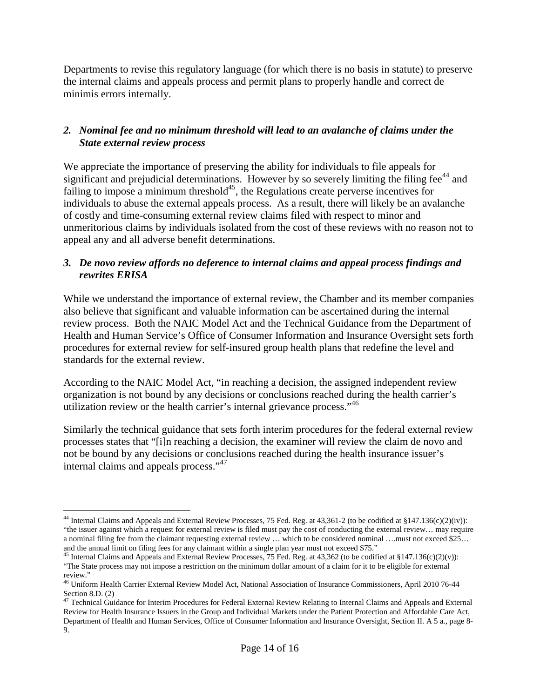Departments to revise this regulatory language (for which there is no basis in statute) to preserve the internal claims and appeals process and permit plans to properly handle and correct de minimis errors internally.

## *2. Nominal fee and no minimum threshold will lead to an avalanche of claims under the State external review process*

We appreciate the importance of preserving the ability for individuals to file appeals for significantand pr[e](#page-13-0)judicial determinations. However by so severely limiting the filing fee $^{44}$  and failing to impose a minimum threshold<sup>[45](#page-13-1)</sup>, the Regulations create perverse incentives for individuals to abuse the external appeals process. As a result, there will likely be an avalanche of costly and time-consuming external review claims filed with respect to minor and unmeritorious claims by individuals isolated from the cost of these reviews with no reason not to appeal any and all adverse benefit determinations.

## *3. De novo review affords no deference to internal claims and appeal process findings and rewrites ERISA*

While we understand the importance of external review, the Chamber and its member companies also believe that significant and valuable information can be ascertained during the internal review process. Both the NAIC Model Act and the Technical Guidance from the Department of Health and Human Service's Office of Consumer Information and Insurance Oversight sets forth procedures for external review for self-insured group health plans that redefine the level and standards for the external review.

According to the NAIC Model Act, "in reaching a decision, the assigned independent review organization is not bound by any decisions or conclusions reached during the health carrier's utilization review or the health carrier's internal grievance process."<sup>[46](#page-13-2)</sup>

Similarly the technical guidance that sets forth interim procedures for the federal external review processes states that "[i]n reaching a decision, the examiner will review the claim de novo and not be bound by any decisions or conclusions reached during the health insurance issuer's internal claims and appeals process."[47](#page-13-3)

<span id="page-13-0"></span><sup>&</sup>lt;sup>44</sup> Internal Claims and Appeals and External Review Processes, 75 Fed. Reg. at 43,361-2 (to be codified at §147.136(c)(2)(iv)): "the issuer against which a request for external review is filed must pay the cost of conducting the external review… may require a nominal filing fee from the claimant requesting external review … which to be considered nominal ….must not exceed \$25… and the annual limit on filing fees for any claimant within a single plan year must not exceed \$75."

<span id="page-13-1"></span><sup>&</sup>lt;sup>45</sup> Internal Claims and Appeals and External Review Processes, 75 Fed. Reg. at 43,362 (to be codified at §147.136(c)(2)(v)): "The State process may not impose a restriction on the minimum dollar amount of a claim for it to be eligible for external review."

<span id="page-13-2"></span><sup>46</sup> Uniform Health Carrier External Review Model Act, National Association of Insurance Commissioners, April 2010 76-44 Section 8.D. (2)

<span id="page-13-3"></span><sup>&</sup>lt;sup>47</sup> Technical Guidance for Interim Procedures for Federal External Review Relating to Internal Claims and Appeals and External Review for Health Insurance Issuers in the Group and Individual Markets under the Patient Protection and Affordable Care Act, Department of Health and Human Services, Office of Consumer Information and Insurance Oversight, Section II. A 5 a., page 8- 9.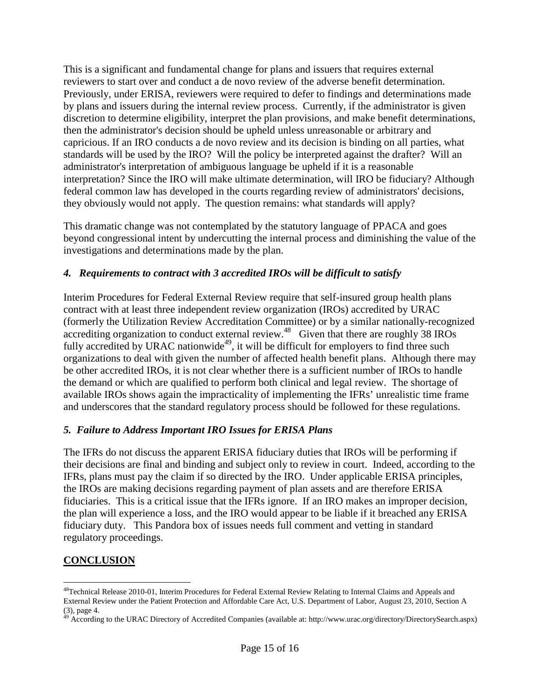This is a significant and fundamental change for plans and issuers that requires external reviewers to start over and conduct a de novo review of the adverse benefit determination. Previously, under ERISA, reviewers were required to defer to findings and determinations made by plans and issuers during the internal review process. Currently, if the administrator is given discretion to determine eligibility, interpret the plan provisions, and make benefit determinations, then the administrator's decision should be upheld unless unreasonable or arbitrary and capricious. If an IRO conducts a de novo review and its decision is binding on all parties, what standards will be used by the IRO? Will the policy be interpreted against the drafter? Will an administrator's interpretation of ambiguous language be upheld if it is a reasonable interpretation? Since the IRO will make ultimate determination, will IRO be fiduciary? Although federal common law has developed in the courts regarding review of administrators' decisions, they obviously would not apply. The question remains: what standards will apply?

This dramatic change was not contemplated by the statutory language of PPACA and goes beyond congressional intent by undercutting the internal process and diminishing the value of the investigations and determinations made by the plan.

# *4. Requirements to contract with 3 accredited IROs will be difficult to satisfy*

Interim Procedures for Federal External Review require that self-insured group health plans contract with at least three independent review organization (IROs) accredited by URAC (formerly the Utilization Review Accreditation Committee) or by a similar nationally-recognized accrediting organization to conduct external review.<sup>[48](#page-14-0)</sup> Given that there are roughly 38 IROs fully accredited by URAC nationwide<sup>[49](#page-14-1)</sup>, it will be difficult for employers to find three such organizations to deal with given the number of affected health benefit plans. Although there may be other accredited IROs, it is not clear whether there is a sufficient number of IROs to handle the demand or which are qualified to perform both clinical and legal review. The shortage of available IROs shows again the impracticality of implementing the IFRs' unrealistic time frame and underscores that the standard regulatory process should be followed for these regulations.

# *5. Failure to Address Important IRO Issues for ERISA Plans*

The IFRs do not discuss the apparent ERISA fiduciary duties that IROs will be performing if their decisions are final and binding and subject only to review in court. Indeed, according to the IFRs, plans must pay the claim if so directed by the IRO. Under applicable ERISA principles, the IROs are making decisions regarding payment of plan assets and are therefore ERISA fiduciaries. This is a critical issue that the IFRs ignore. If an IRO makes an improper decision, the plan will experience a loss, and the IRO would appear to be liable if it breached any ERISA fiduciary duty. This Pandora box of issues needs full comment and vetting in standard regulatory proceedings.

# **CONCLUSION**

<span id="page-14-0"></span><sup>&</sup>lt;sup>48</sup>Technical Release 2010-01, Interim Procedures for Federal External Review Relating to Internal Claims and Appeals and External Review under the Patient Protection and Affordable Care Act, U.S. Department of Labor, August 23, 2010, Section A (3), page 4.

<span id="page-14-1"></span><sup>49</sup> According to the URAC Directory of Accredited Companies (available at: http://www.urac.org/directory/DirectorySearch.aspx)